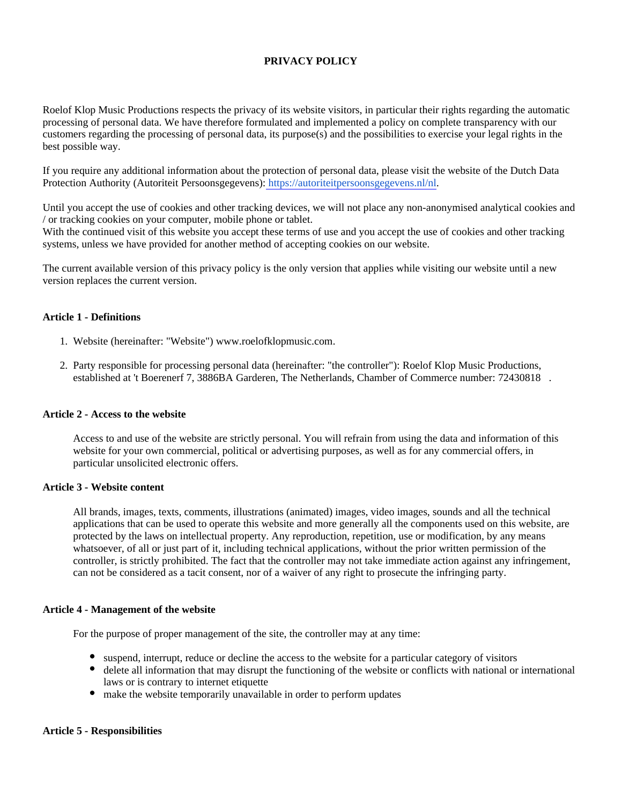# **PRIVACY POLICY**

Roelof Klop Music Productions respects the privacy of its website visitors, in particular their rights regarding the automatic processing of personal data. We have therefore formulated and implemented a policy on complete transparency with our customers regarding the processing of personal data, its purpose(s) and the possibilities to exercise your legal rights in the best possible way.

If you require any additional information about the protection of personal data, please visit the website of the Dutch Data Protection Authority (Autoriteit Persoonsgegevens): [https://autoriteitpersoonsgegevens.nl/nl.](https://autoriteitpersoonsgegevens.nl/nl)

Until you accept the use of cookies and other tracking devices, we will not place any non-anonymised analytical cookies and / or tracking cookies on your computer, mobile phone or tablet.

With the continued visit of this website you accept these terms of use and you accept the use of cookies and other tracking systems, unless we have provided for another method of accepting cookies on our website.

The current available version of this privacy policy is the only version that applies while visiting our website until a new version replaces the current version.

### **Article 1 - Definitions**

- 1. Website (hereinafter: "Website") www.roelofklopmusic.com.
- 2. Party responsible for processing personal data (hereinafter: "the controller"): Roelof Klop Music Productions, established at 't Boerenerf 7, 3886BA Garderen, The Netherlands, Chamber of Commerce number: 72430818 .

## **Article 2 - Access to the website**

Access to and use of the website are strictly personal. You will refrain from using the data and information of this website for your own commercial, political or advertising purposes, as well as for any commercial offers, in particular unsolicited electronic offers.

## **Article 3 - Website content**

All brands, images, texts, comments, illustrations (animated) images, video images, sounds and all the technical applications that can be used to operate this website and more generally all the components used on this website, are protected by the laws on intellectual property. Any reproduction, repetition, use or modification, by any means whatsoever, of all or just part of it, including technical applications, without the prior written permission of the controller, is strictly prohibited. The fact that the controller may not take immediate action against any infringement, can not be considered as a tacit consent, nor of a waiver of any right to prosecute the infringing party.

### **Article 4 - Management of the website**

For the purpose of proper management of the site, the controller may at any time:

- suspend, interrupt, reduce or decline the access to the website for a particular category of visitors
- delete all information that may disrupt the functioning of the website or conflicts with national or international laws or is contrary to internet etiquette
- make the website temporarily unavailable in order to perform updates

#### **Article 5 - Responsibilities**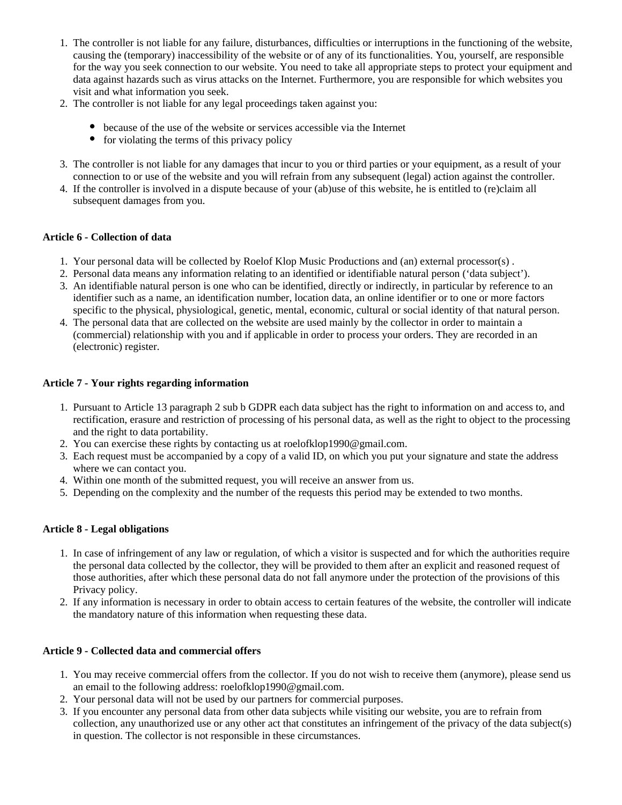- 1. The controller is not liable for any failure, disturbances, difficulties or interruptions in the functioning of the website, causing the (temporary) inaccessibility of the website or of any of its functionalities. You, yourself, are responsible for the way you seek connection to our website. You need to take all appropriate steps to protect your equipment and data against hazards such as virus attacks on the Internet. Furthermore, you are responsible for which websites you visit and what information you seek.
- 2. The controller is not liable for any legal proceedings taken against you:
	- because of the use of the website or services accessible via the Internet
	- $\bullet$  for violating the terms of this privacy policy
- 3. The controller is not liable for any damages that incur to you or third parties or your equipment, as a result of your connection to or use of the website and you will refrain from any subsequent (legal) action against the controller.
- 4. If the controller is involved in a dispute because of your (ab)use of this website, he is entitled to (re)claim all subsequent damages from you.

# **Article 6 - Collection of data**

- 1. Your personal data will be collected by Roelof Klop Music Productions and (an) external processor(s) .
- 2. Personal data means any information relating to an identified or identifiable natural person ('data subject').
- 3. An identifiable natural person is one who can be identified, directly or indirectly, in particular by reference to an identifier such as a name, an identification number, location data, an online identifier or to one or more factors specific to the physical, physiological, genetic, mental, economic, cultural or social identity of that natural person.
- 4. The personal data that are collected on the website are used mainly by the collector in order to maintain a (commercial) relationship with you and if applicable in order to process your orders. They are recorded in an (electronic) register.

# **Article 7 - Your rights regarding information**

- 1. Pursuant to Article 13 paragraph 2 sub b GDPR each data subject has the right to information on and access to, and rectification, erasure and restriction of processing of his personal data, as well as the right to object to the processing and the right to data portability.
- 2. You can exercise these rights by contacting us at roelofklop1990@gmail.com.
- 3. Each request must be accompanied by a copy of a valid ID, on which you put your signature and state the address where we can contact you.
- 4. Within one month of the submitted request, you will receive an answer from us.
- 5. Depending on the complexity and the number of the requests this period may be extended to two months.

# **Article 8 - Legal obligations**

- 1. In case of infringement of any law or regulation, of which a visitor is suspected and for which the authorities require the personal data collected by the collector, they will be provided to them after an explicit and reasoned request of those authorities, after which these personal data do not fall anymore under the protection of the provisions of this Privacy policy.
- 2. If any information is necessary in order to obtain access to certain features of the website, the controller will indicate the mandatory nature of this information when requesting these data.

# **Article 9 - Collected data and commercial offers**

- 1. You may receive commercial offers from the collector. If you do not wish to receive them (anymore), please send us an email to the following address: roelofklop1990@gmail.com.
- 2. Your personal data will not be used by our partners for commercial purposes.
- 3. If you encounter any personal data from other data subjects while visiting our website, you are to refrain from collection, any unauthorized use or any other act that constitutes an infringement of the privacy of the data subject(s) in question. The collector is not responsible in these circumstances.